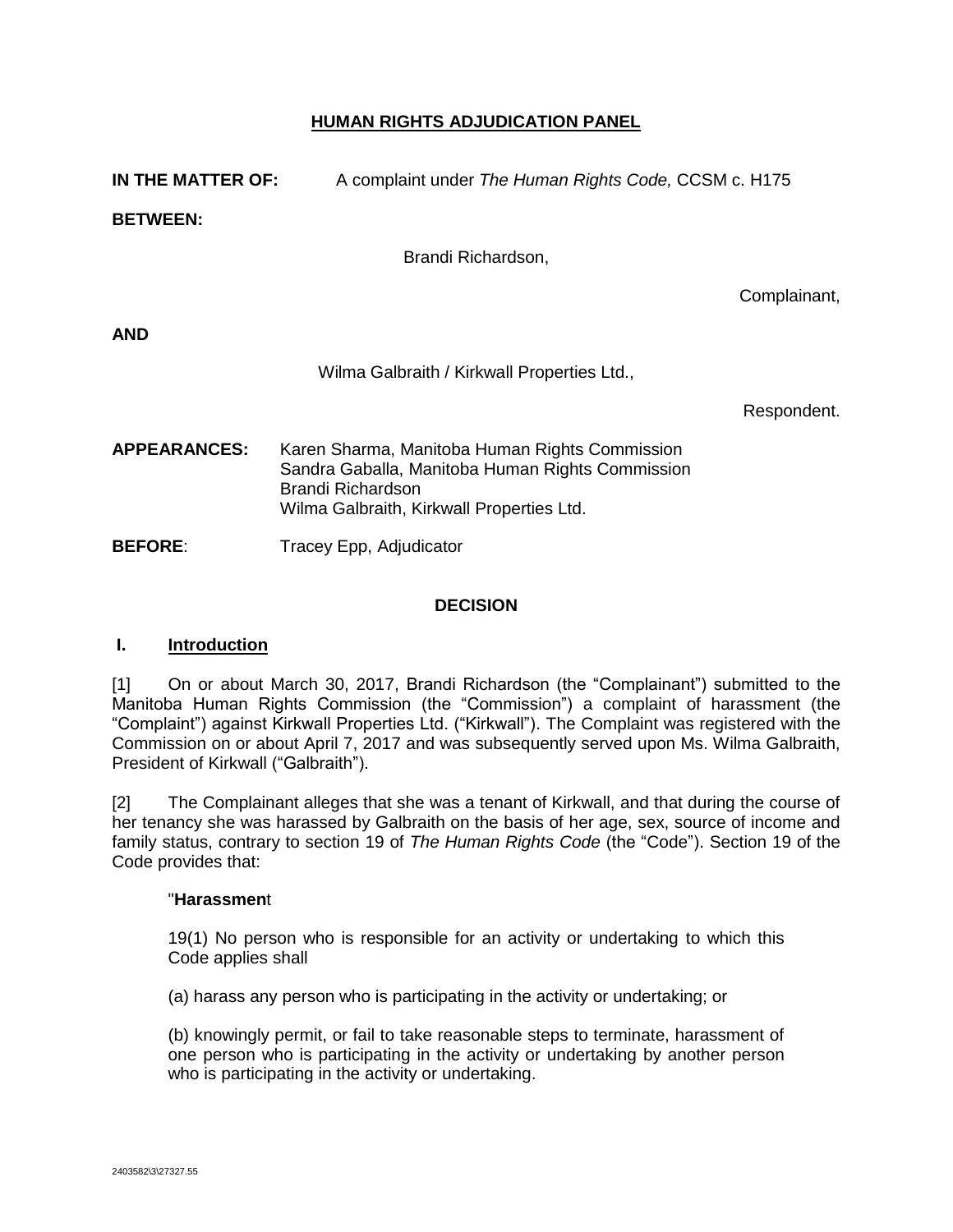## **HUMAN RIGHTS ADJUDICATION PANEL**

| IN THE MATTER OF:   | A complaint under The Human Rights Code, CCSM c. H175                                                                                                                |              |
|---------------------|----------------------------------------------------------------------------------------------------------------------------------------------------------------------|--------------|
| <b>BETWEEN:</b>     |                                                                                                                                                                      |              |
|                     | Brandi Richardson,                                                                                                                                                   |              |
|                     |                                                                                                                                                                      | Complainant, |
| AND                 |                                                                                                                                                                      |              |
|                     | Wilma Galbraith / Kirkwall Properties Ltd.,                                                                                                                          |              |
|                     |                                                                                                                                                                      | Respondent.  |
| <b>APPEARANCES:</b> | Karen Sharma, Manitoba Human Rights Commission<br>Sandra Gaballa, Manitoba Human Rights Commission<br>Brandi Richardson<br>Wilma Galbraith, Kirkwall Properties Ltd. |              |

#### **DECISION**

#### **I. Introduction**

**BEFORE:** Tracey Epp, Adjudicator

[1] On or about March 30, 2017, Brandi Richardson (the "Complainant") submitted to the Manitoba Human Rights Commission (the "Commission") a complaint of harassment (the "Complaint") against Kirkwall Properties Ltd. ("Kirkwall"). The Complaint was registered with the Commission on or about April 7, 2017 and was subsequently served upon Ms. Wilma Galbraith, President of Kirkwall ("Galbraith").

[2] The Complainant alleges that she was a tenant of Kirkwall, and that during the course of her tenancy she was harassed by Galbraith on the basis of her age, sex, source of income and family status, contrary to section 19 of *The Human Rights Code* (the "Code"). Section 19 of the Code provides that:

#### "**Harassmen**t

19(1) No person who is responsible for an activity or undertaking to which this Code applies shall

(a) harass any person who is participating in the activity or undertaking; or

(b) knowingly permit, or fail to take reasonable steps to terminate, harassment of one person who is participating in the activity or undertaking by another person who is participating in the activity or undertaking.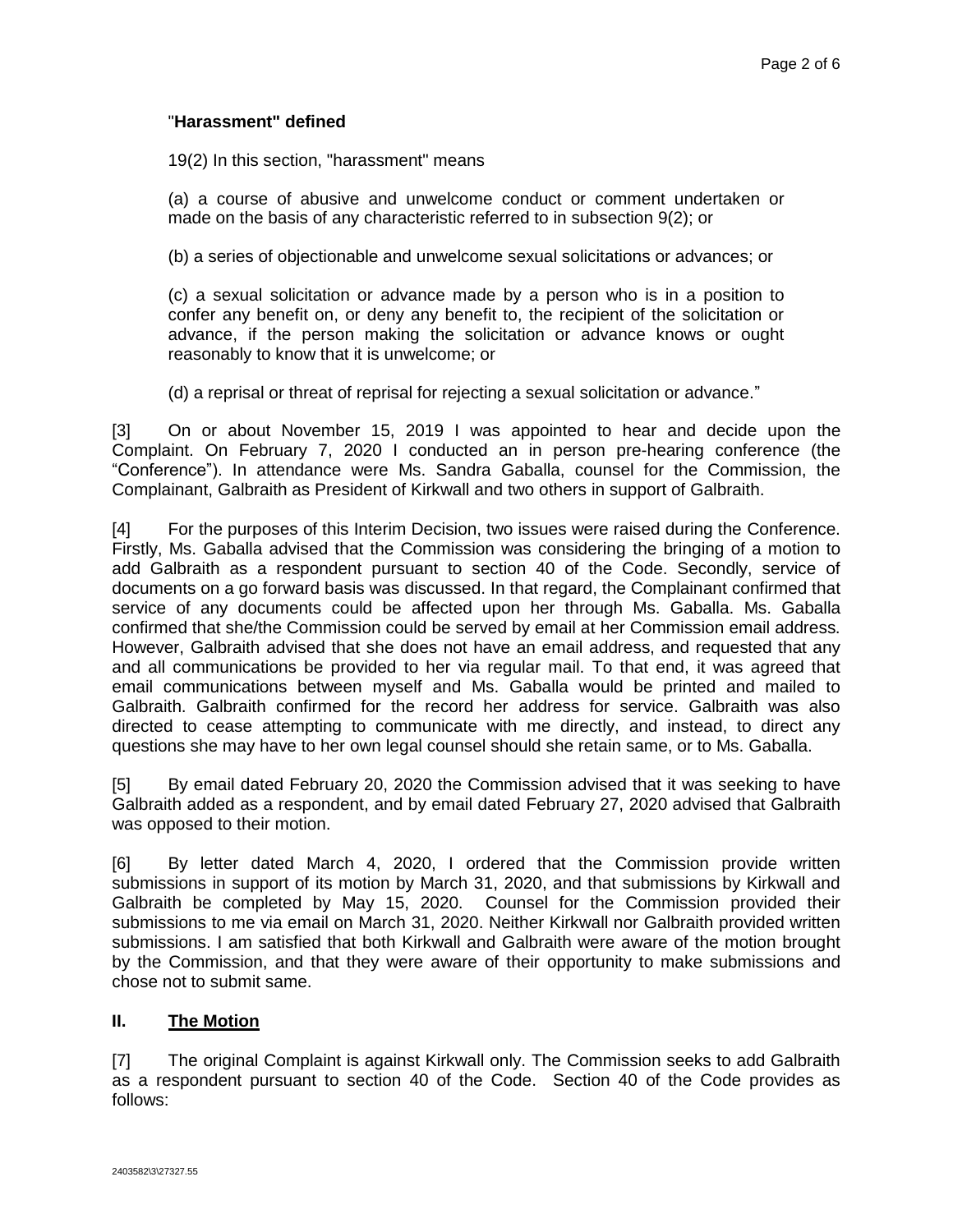## "**Harassment" defined**

19(2) In this section, "harassment" means

(a) a course of abusive and unwelcome conduct or comment undertaken or made on the basis of any characteristic referred to in subsection 9(2); or

(b) a series of objectionable and unwelcome sexual solicitations or advances; or

(c) a sexual solicitation or advance made by a person who is in a position to confer any benefit on, or deny any benefit to, the recipient of the solicitation or advance, if the person making the solicitation or advance knows or ought reasonably to know that it is unwelcome; or

(d) a reprisal or threat of reprisal for rejecting a sexual solicitation or advance."

[3] On or about November 15, 2019 I was appointed to hear and decide upon the Complaint. On February 7, 2020 I conducted an in person pre-hearing conference (the "Conference"). In attendance were Ms. Sandra Gaballa, counsel for the Commission, the Complainant, Galbraith as President of Kirkwall and two others in support of Galbraith.

[4] For the purposes of this Interim Decision, two issues were raised during the Conference. Firstly, Ms. Gaballa advised that the Commission was considering the bringing of a motion to add Galbraith as a respondent pursuant to section 40 of the Code. Secondly, service of documents on a go forward basis was discussed. In that regard, the Complainant confirmed that service of any documents could be affected upon her through Ms. Gaballa. Ms. Gaballa confirmed that she/the Commission could be served by email at her Commission email address. However, Galbraith advised that she does not have an email address, and requested that any and all communications be provided to her via regular mail. To that end, it was agreed that email communications between myself and Ms. Gaballa would be printed and mailed to Galbraith. Galbraith confirmed for the record her address for service. Galbraith was also directed to cease attempting to communicate with me directly, and instead, to direct any questions she may have to her own legal counsel should she retain same, or to Ms. Gaballa.

[5] By email dated February 20, 2020 the Commission advised that it was seeking to have Galbraith added as a respondent, and by email dated February 27, 2020 advised that Galbraith was opposed to their motion.

[6] By letter dated March 4, 2020, I ordered that the Commission provide written submissions in support of its motion by March 31, 2020, and that submissions by Kirkwall and Galbraith be completed by May 15, 2020. Counsel for the Commission provided their submissions to me via email on March 31, 2020. Neither Kirkwall nor Galbraith provided written submissions. I am satisfied that both Kirkwall and Galbraith were aware of the motion brought by the Commission, and that they were aware of their opportunity to make submissions and chose not to submit same.

### **II. The Motion**

[7] The original Complaint is against Kirkwall only. The Commission seeks to add Galbraith as a respondent pursuant to section 40 of the Code. Section 40 of the Code provides as follows: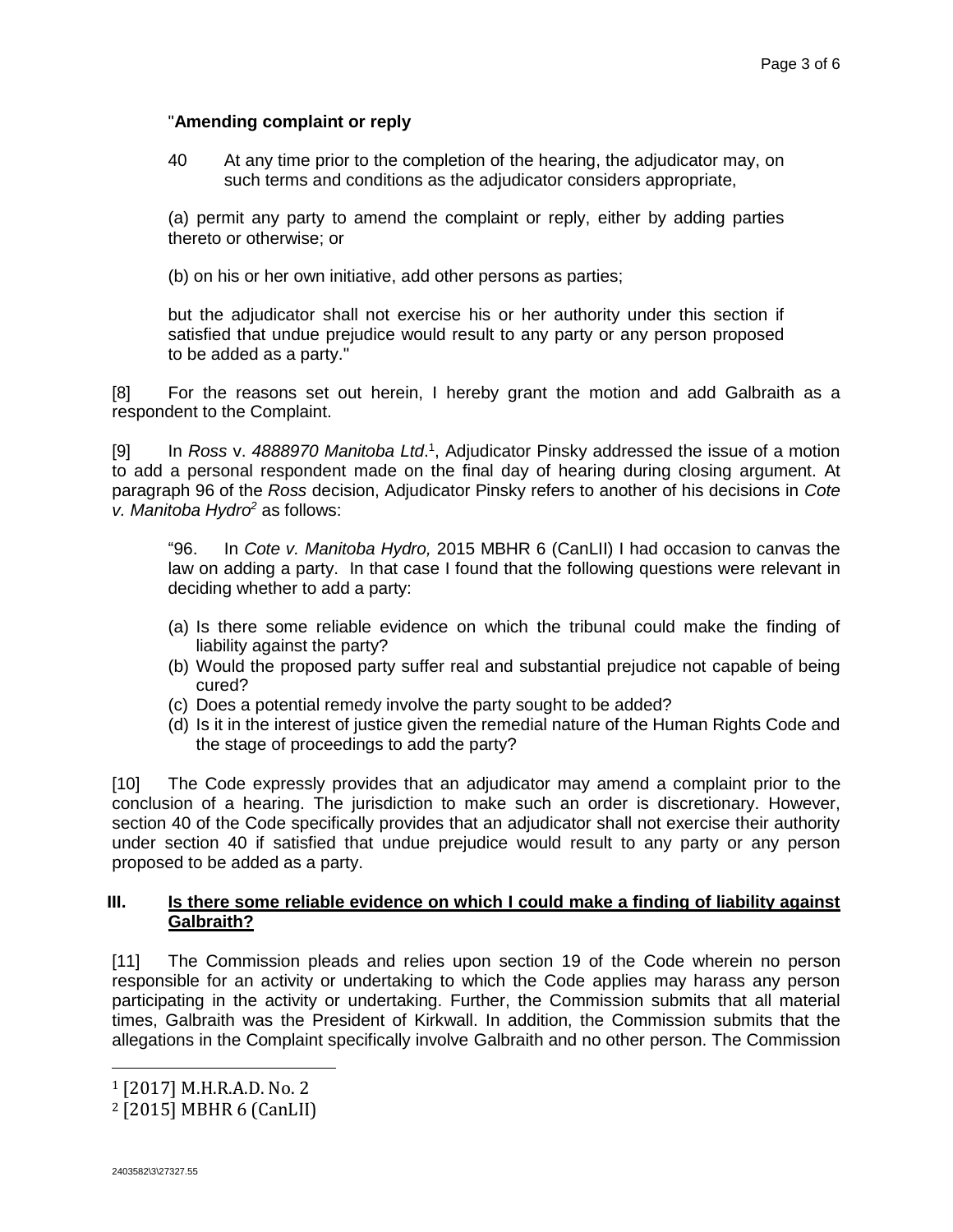## "**Amending complaint or reply**

40 At any time prior to the completion of the hearing, the adjudicator may, on such terms and conditions as the adjudicator considers appropriate,

(a) permit any party to amend the complaint or reply, either by adding parties thereto or otherwise; or

(b) on his or her own initiative, add other persons as parties;

but the adjudicator shall not exercise his or her authority under this section if satisfied that undue prejudice would result to any party or any person proposed to be added as a party."

[8] For the reasons set out herein, I hereby grant the motion and add Galbraith as a respondent to the Complaint.

[9] In *Ross* v. *4888970 Manitoba Ltd*. 1 , Adjudicator Pinsky addressed the issue of a motion to add a personal respondent made on the final day of hearing during closing argument. At paragraph 96 of the *Ross* decision, Adjudicator Pinsky refers to another of his decisions in *Cote v. Manitoba Hydro<sup>2</sup>* as follows:

"96. In *Cote v. Manitoba Hydro,* 2015 MBHR 6 (CanLII) I had occasion to canvas the law on adding a party. In that case I found that the following questions were relevant in deciding whether to add a party:

- (a) Is there some reliable evidence on which the tribunal could make the finding of liability against the party?
- (b) Would the proposed party suffer real and substantial prejudice not capable of being cured?
- (c) Does a potential remedy involve the party sought to be added?
- (d) Is it in the interest of justice given the remedial nature of the Human Rights Code and the stage of proceedings to add the party?

[10] The Code expressly provides that an adjudicator may amend a complaint prior to the conclusion of a hearing. The jurisdiction to make such an order is discretionary. However, section 40 of the Code specifically provides that an adjudicator shall not exercise their authority under section 40 if satisfied that undue prejudice would result to any party or any person proposed to be added as a party.

#### **III. Is there some reliable evidence on which I could make a finding of liability against Galbraith?**

[11] The Commission pleads and relies upon section 19 of the Code wherein no person responsible for an activity or undertaking to which the Code applies may harass any person participating in the activity or undertaking. Further, the Commission submits that all material times, Galbraith was the President of Kirkwall. In addition, the Commission submits that the allegations in the Complaint specifically involve Galbraith and no other person. The Commission

 $\overline{a}$ 

<sup>1</sup> [2017] M.H.R.A.D. No. 2

<sup>2</sup> [2015] MBHR 6 (CanLII)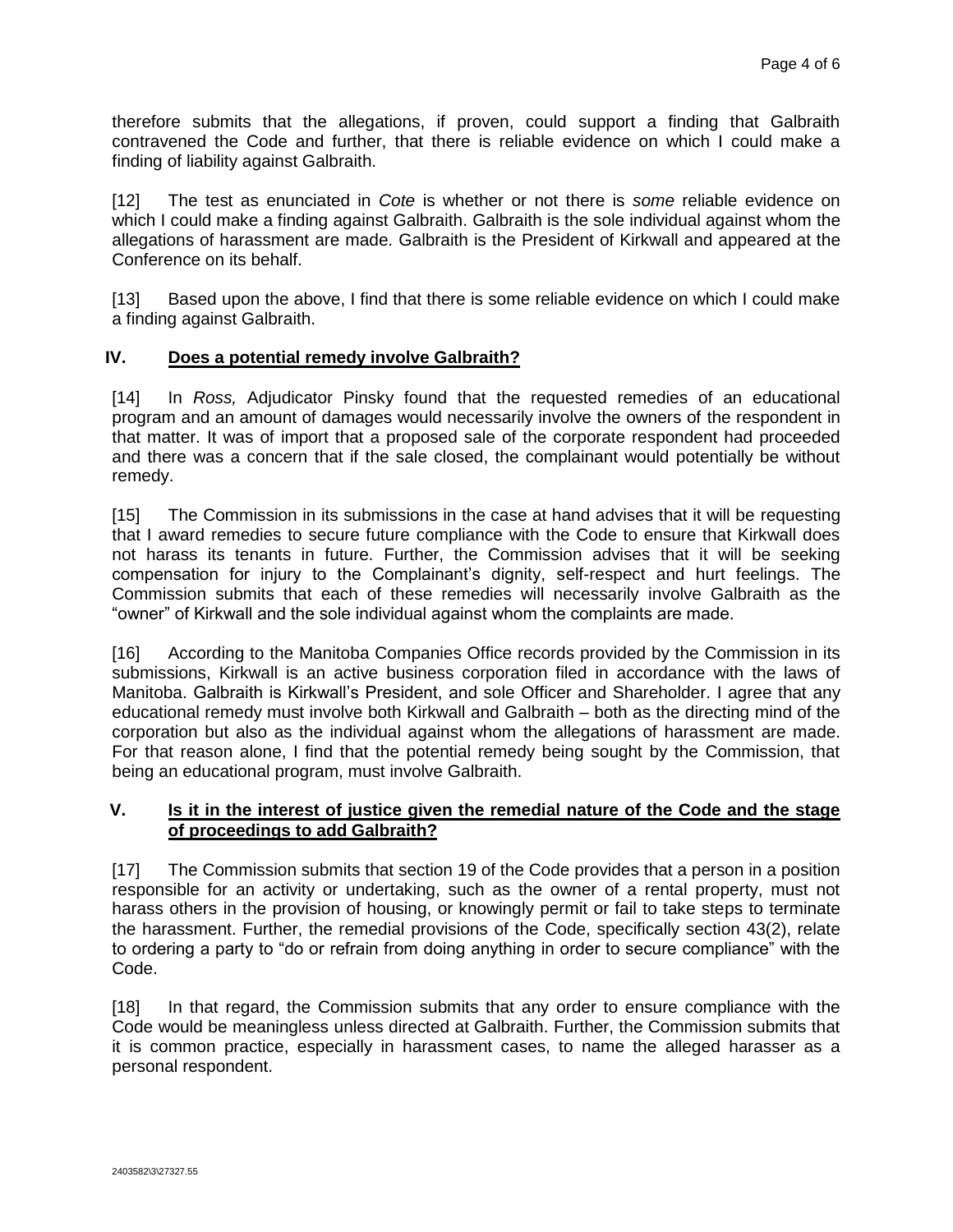therefore submits that the allegations, if proven, could support a finding that Galbraith contravened the Code and further, that there is reliable evidence on which I could make a finding of liability against Galbraith.

[12] The test as enunciated in *Cote* is whether or not there is *some* reliable evidence on which I could make a finding against Galbraith. Galbraith is the sole individual against whom the allegations of harassment are made. Galbraith is the President of Kirkwall and appeared at the Conference on its behalf.

[13] Based upon the above, I find that there is some reliable evidence on which I could make a finding against Galbraith.

### **IV. Does a potential remedy involve Galbraith?**

[14] In *Ross,* Adjudicator Pinsky found that the requested remedies of an educational program and an amount of damages would necessarily involve the owners of the respondent in that matter. It was of import that a proposed sale of the corporate respondent had proceeded and there was a concern that if the sale closed, the complainant would potentially be without remedy.

[15] The Commission in its submissions in the case at hand advises that it will be requesting that I award remedies to secure future compliance with the Code to ensure that Kirkwall does not harass its tenants in future. Further, the Commission advises that it will be seeking compensation for injury to the Complainant's dignity, self-respect and hurt feelings. The Commission submits that each of these remedies will necessarily involve Galbraith as the "owner" of Kirkwall and the sole individual against whom the complaints are made.

[16] According to the Manitoba Companies Office records provided by the Commission in its submissions, Kirkwall is an active business corporation filed in accordance with the laws of Manitoba. Galbraith is Kirkwall's President, and sole Officer and Shareholder. I agree that any educational remedy must involve both Kirkwall and Galbraith – both as the directing mind of the corporation but also as the individual against whom the allegations of harassment are made. For that reason alone, I find that the potential remedy being sought by the Commission, that being an educational program, must involve Galbraith.

#### **V. Is it in the interest of justice given the remedial nature of the Code and the stage of proceedings to add Galbraith?**

[17] The Commission submits that section 19 of the Code provides that a person in a position responsible for an activity or undertaking, such as the owner of a rental property, must not harass others in the provision of housing, or knowingly permit or fail to take steps to terminate the harassment. Further, the remedial provisions of the Code, specifically section 43(2), relate to ordering a party to "do or refrain from doing anything in order to secure compliance" with the Code.

[18] In that regard, the Commission submits that any order to ensure compliance with the Code would be meaningless unless directed at Galbraith. Further, the Commission submits that it is common practice, especially in harassment cases, to name the alleged harasser as a personal respondent.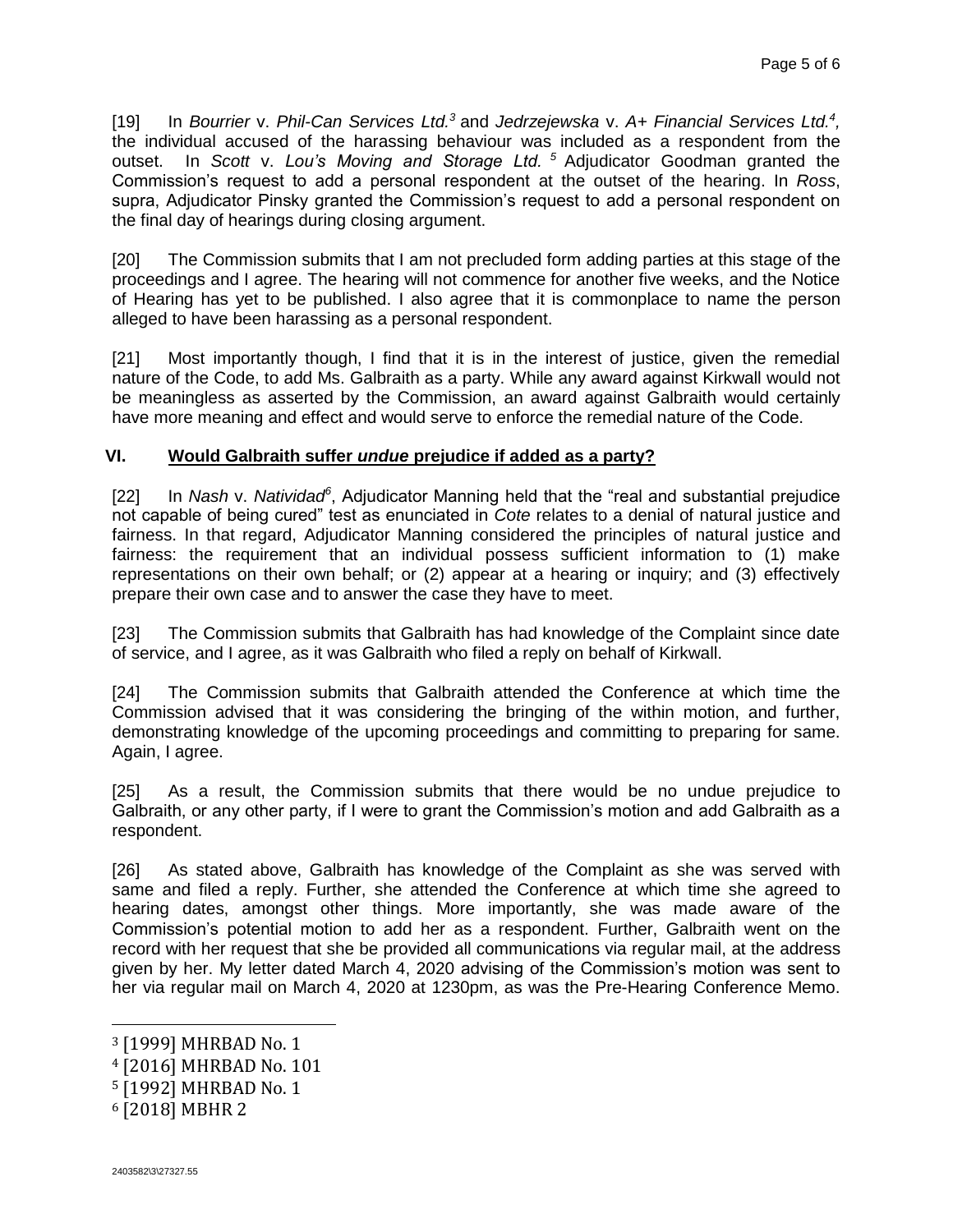[19] In *Bourrier* v. *Phil-Can Services Ltd.<sup>3</sup>* and *Jedrzejewska* v. *A+ Financial Services Ltd.<sup>4</sup> ,*  the individual accused of the harassing behaviour was included as a respondent from the outset. In *Scott* v. *Lou's Moving and Storage Ltd. <sup>5</sup>* Adjudicator Goodman granted the Commission's request to add a personal respondent at the outset of the hearing. In *Ross*, supra, Adjudicator Pinsky granted the Commission's request to add a personal respondent on the final day of hearings during closing argument.

[20] The Commission submits that I am not precluded form adding parties at this stage of the proceedings and I agree. The hearing will not commence for another five weeks, and the Notice of Hearing has yet to be published. I also agree that it is commonplace to name the person alleged to have been harassing as a personal respondent.

[21] Most importantly though, I find that it is in the interest of justice, given the remedial nature of the Code, to add Ms. Galbraith as a party. While any award against Kirkwall would not be meaningless as asserted by the Commission, an award against Galbraith would certainly have more meaning and effect and would serve to enforce the remedial nature of the Code.

# **VI. Would Galbraith suffer** *undue* **prejudice if added as a party?**

[22] In *Nash v. Natividad*<sup>6</sup>, Adjudicator Manning held that the "real and substantial prejudice not capable of being cured" test as enunciated in *Cote* relates to a denial of natural justice and fairness. In that regard, Adjudicator Manning considered the principles of natural justice and fairness: the requirement that an individual possess sufficient information to (1) make representations on their own behalf; or (2) appear at a hearing or inquiry; and (3) effectively prepare their own case and to answer the case they have to meet.

[23] The Commission submits that Galbraith has had knowledge of the Complaint since date of service, and I agree, as it was Galbraith who filed a reply on behalf of Kirkwall.

[24] The Commission submits that Galbraith attended the Conference at which time the Commission advised that it was considering the bringing of the within motion, and further, demonstrating knowledge of the upcoming proceedings and committing to preparing for same. Again, I agree.

[25] As a result, the Commission submits that there would be no undue prejudice to Galbraith, or any other party, if I were to grant the Commission's motion and add Galbraith as a respondent.

[26] As stated above, Galbraith has knowledge of the Complaint as she was served with same and filed a reply. Further, she attended the Conference at which time she agreed to hearing dates, amongst other things. More importantly, she was made aware of the Commission's potential motion to add her as a respondent. Further, Galbraith went on the record with her request that she be provided all communications via regular mail, at the address given by her. My letter dated March 4, 2020 advising of the Commission's motion was sent to her via regular mail on March 4, 2020 at 1230pm, as was the Pre-Hearing Conference Memo.

 $\overline{a}$ 

<sup>3</sup> [1999] MHRBAD No. 1

<sup>4</sup> [2016] MHRBAD No. 101

<sup>5</sup> [1992] MHRBAD No. 1

<sup>6</sup> [2018] MBHR 2